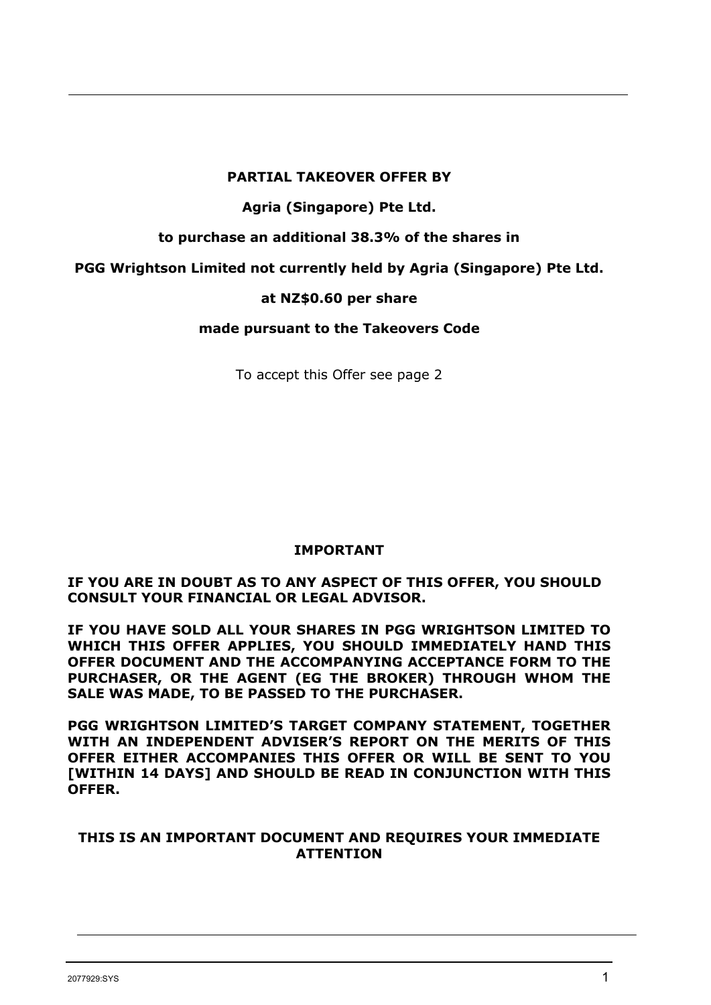#### **PARTIAL TAKEOVER OFFER BY**

## **Agria (Singapore) Pte Ltd.**

**to purchase an additional 38.3% of the shares in**

**PGG Wrightson Limited not currently held by Agria (Singapore) Pte Ltd.**

## **at NZ\$0.60 per share**

**made pursuant to the Takeovers Code**

To accept this Offer see page 2

# **IMPORTANT**

**IF YOU ARE IN DOUBT AS TO ANY ASPECT OF THIS OFFER, YOU SHOULD CONSULT YOUR FINANCIAL OR LEGAL ADVISOR.**

**IF YOU HAVE SOLD ALL YOUR SHARES IN PGG WRIGHTSON LIMITED TO WHICH THIS OFFER APPLIES, YOU SHOULD IMMEDIATELY HAND THIS OFFER DOCUMENT AND THE ACCOMPANYING ACCEPTANCE FORM TO THE PURCHASER, OR THE AGENT (EG THE BROKER) THROUGH WHOM THE SALE WAS MADE, TO BE PASSED TO THE PURCHASER.**

**PGG WRIGHTSON LIMITED'S TARGET COMPANY STATEMENT, TOGETHER WITH AN INDEPENDENT ADVISER'S REPORT ON THE MERITS OF THIS OFFER EITHER ACCOMPANIES THIS OFFER OR WILL BE SENT TO YOU [WITHIN 14 DAYS] AND SHOULD BE READ IN CONJUNCTION WITH THIS OFFER.** 

#### **THIS IS AN IMPORTANT DOCUMENT AND REQUIRES YOUR IMMEDIATE ATTENTION**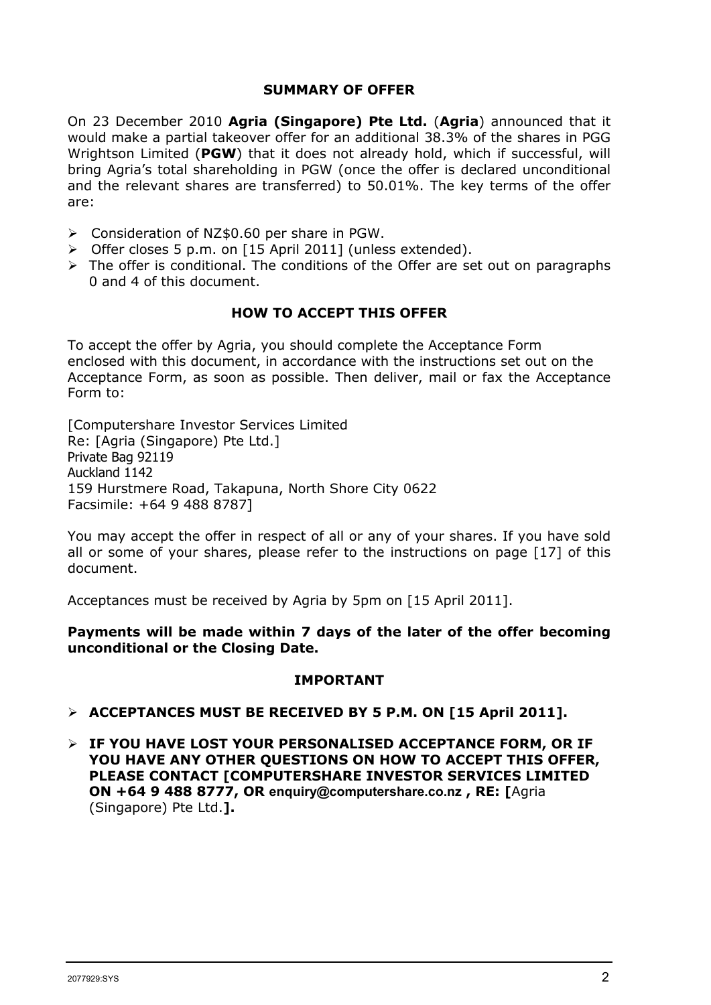#### **SUMMARY OF OFFER**

On 23 December 2010 **Agria (Singapore) Pte Ltd.** (**Agria**) announced that it would make a partial takeover offer for an additional 38.3% of the shares in PGG Wrightson Limited (**PGW**) that it does not already hold, which if successful, will bring Agria's total shareholding in PGW (once the offer is declared unconditional and the relevant shares are transferred) to 50.01%. The key terms of the offer are:

- Consideration of NZ\$0.60 per share in PGW.
- > Offer closes 5 p.m. on [15 April 2011] (unless extended).
- $\triangleright$  The offer is conditional. The conditions of the Offer are set out on paragraphs 0 and 4 of this document.

#### **HOW TO ACCEPT THIS OFFER**

To accept the offer by Agria, you should complete the Acceptance Form enclosed with this document, in accordance with the instructions set out on the Acceptance Form, as soon as possible. Then deliver, mail or fax the Acceptance Form to:

[Computershare Investor Services Limited Re: [Agria (Singapore) Pte Ltd.] Private Bag 92119 Auckland 1142 159 Hurstmere Road, Takapuna, North Shore City 0622 Facsimile: +64 9 488 8787]

You may accept the offer in respect of all or any of your shares. If you have sold all or some of your shares, please refer to the instructions on page [17] of this document.

Acceptances must be received by Agria by 5pm on [15 April 2011].

**Payments will be made within 7 days of the later of the offer becoming unconditional or the Closing Date.**

#### **IMPORTANT**

- **ACCEPTANCES MUST BE RECEIVED BY 5 P.M. ON [15 April 2011].**
- **IF YOU HAVE LOST YOUR PERSONALISED ACCEPTANCE FORM, OR IF YOU HAVE ANY OTHER QUESTIONS ON HOW TO ACCEPT THIS OFFER, PLEASE CONTACT [COMPUTERSHARE INVESTOR SERVICES LIMITED ON +64 9 488 8777, OR [enquiry@computershare.co.nz](mailto:enquiry@computershare.co.nz) , RE: [**Agria (Singapore) Pte Ltd.**].**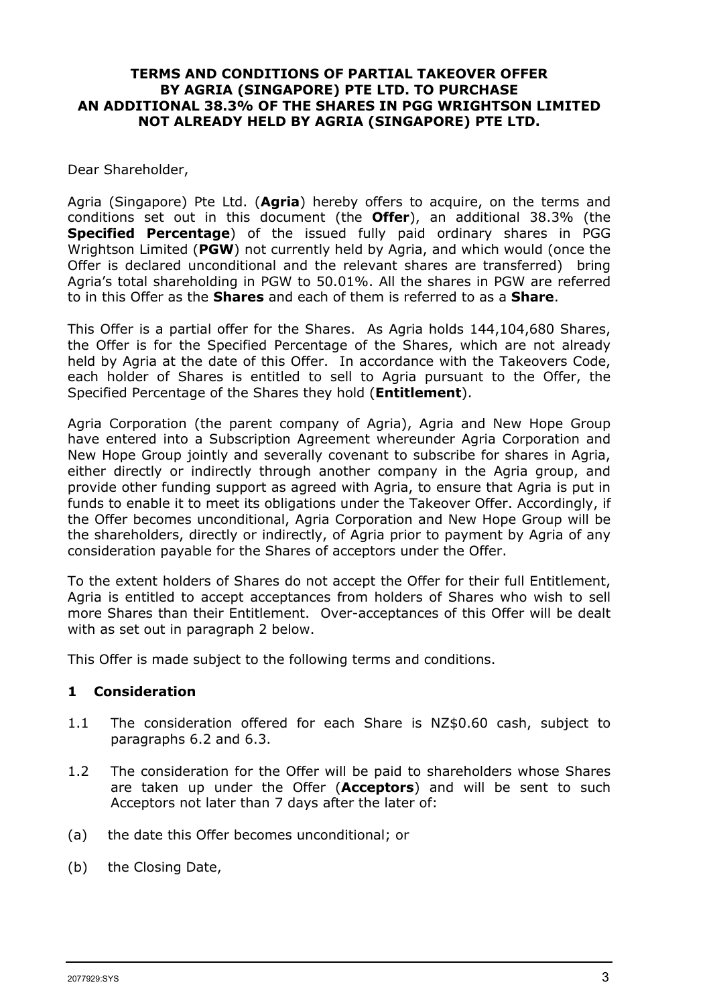#### **TERMS AND CONDITIONS OF PARTIAL TAKEOVER OFFER BY AGRIA (SINGAPORE) PTE LTD. TO PURCHASE AN ADDITIONAL 38.3% OF THE SHARES IN PGG WRIGHTSON LIMITED NOT ALREADY HELD BY AGRIA (SINGAPORE) PTE LTD.**

#### Dear Shareholder,

Agria (Singapore) Pte Ltd. (**Agria**) hereby offers to acquire, on the terms and conditions set out in this document (the **Offer**), an additional 38.3% (the **Specified Percentage**) of the issued fully paid ordinary shares in PGG Wrightson Limited (**PGW**) not currently held by Agria, and which would (once the Offer is declared unconditional and the relevant shares are transferred) bring Agria's total shareholding in PGW to 50.01%. All the shares in PGW are referred to in this Offer as the **Shares** and each of them is referred to as a **Share**.

This Offer is a partial offer for the Shares. As Agria holds 144,104,680 Shares, the Offer is for the Specified Percentage of the Shares, which are not already held by Agria at the date of this Offer. In accordance with the Takeovers Code, each holder of Shares is entitled to sell to Agria pursuant to the Offer, the Specified Percentage of the Shares they hold (**Entitlement**).

Agria Corporation (the parent company of Agria), Agria and New Hope Group have entered into a Subscription Agreement whereunder Agria Corporation and New Hope Group jointly and severally covenant to subscribe for shares in Agria, either directly or indirectly through another company in the Agria group, and provide other funding support as agreed with Agria, to ensure that Agria is put in funds to enable it to meet its obligations under the Takeover Offer. Accordingly, if the Offer becomes unconditional, Agria Corporation and New Hope Group will be the shareholders, directly or indirectly, of Agria prior to payment by Agria of any consideration payable for the Shares of acceptors under the Offer.

To the extent holders of Shares do not accept the Offer for their full Entitlement, Agria is entitled to accept acceptances from holders of Shares who wish to sell more Shares than their Entitlement. Over-acceptances of this Offer will be dealt with as set out in paragraph 2 below.

This Offer is made subject to the following terms and conditions.

#### **1 Consideration**

- 1.1 The consideration offered for each Share is NZ\$0.60 cash, subject to paragraphs 6.2 and 6.3.
- 1.2 The consideration for the Offer will be paid to shareholders whose Shares are taken up under the Offer (**Acceptors**) and will be sent to such Acceptors not later than 7 days after the later of:
- (a) the date this Offer becomes unconditional; or
- (b) the Closing Date,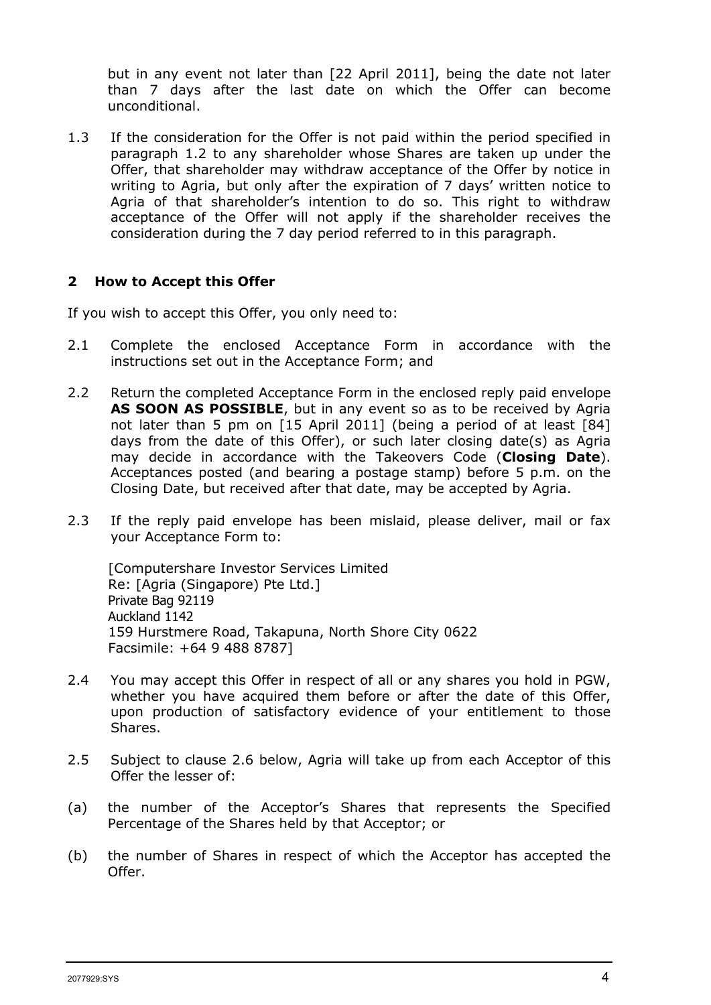but in any event not later than [22 April 2011], being the date not later than 7 days after the last date on which the Offer can become unconditional.

1.3 If the consideration for the Offer is not paid within the period specified in paragraph 1.2 to any shareholder whose Shares are taken up under the Offer, that shareholder may withdraw acceptance of the Offer by notice in writing to Agria, but only after the expiration of 7 days' written notice to Agria of that shareholder's intention to do so. This right to withdraw acceptance of the Offer will not apply if the shareholder receives the consideration during the 7 day period referred to in this paragraph.

#### **2 How to Accept this Offer**

If you wish to accept this Offer, you only need to:

- 2.1 Complete the enclosed Acceptance Form in accordance with the instructions set out in the Acceptance Form; and
- 2.2 Return the completed Acceptance Form in the enclosed reply paid envelope **AS SOON AS POSSIBLE**, but in any event so as to be received by Agria not later than 5 pm on [15 April 2011] (being a period of at least [84] days from the date of this Offer), or such later closing date(s) as Agria may decide in accordance with the Takeovers Code (**Closing Date**). Acceptances posted (and bearing a postage stamp) before 5 p.m. on the Closing Date, but received after that date, may be accepted by Agria.
- 2.3 If the reply paid envelope has been mislaid, please deliver, mail or fax your Acceptance Form to:

[Computershare Investor Services Limited Re: [Agria (Singapore) Pte Ltd.] Private Bag 92119 Auckland 1142 159 Hurstmere Road, Takapuna, North Shore City 0622 Facsimile: +64 9 488 8787]

- 2.4 You may accept this Offer in respect of all or any shares you hold in PGW, whether you have acquired them before or after the date of this Offer, upon production of satisfactory evidence of your entitlement to those Shares.
- 2.5 Subject to clause 2.6 below, Agria will take up from each Acceptor of this Offer the lesser of:
- (a) the number of the Acceptor's Shares that represents the Specified Percentage of the Shares held by that Acceptor; or
- (b) the number of Shares in respect of which the Acceptor has accepted the Offer.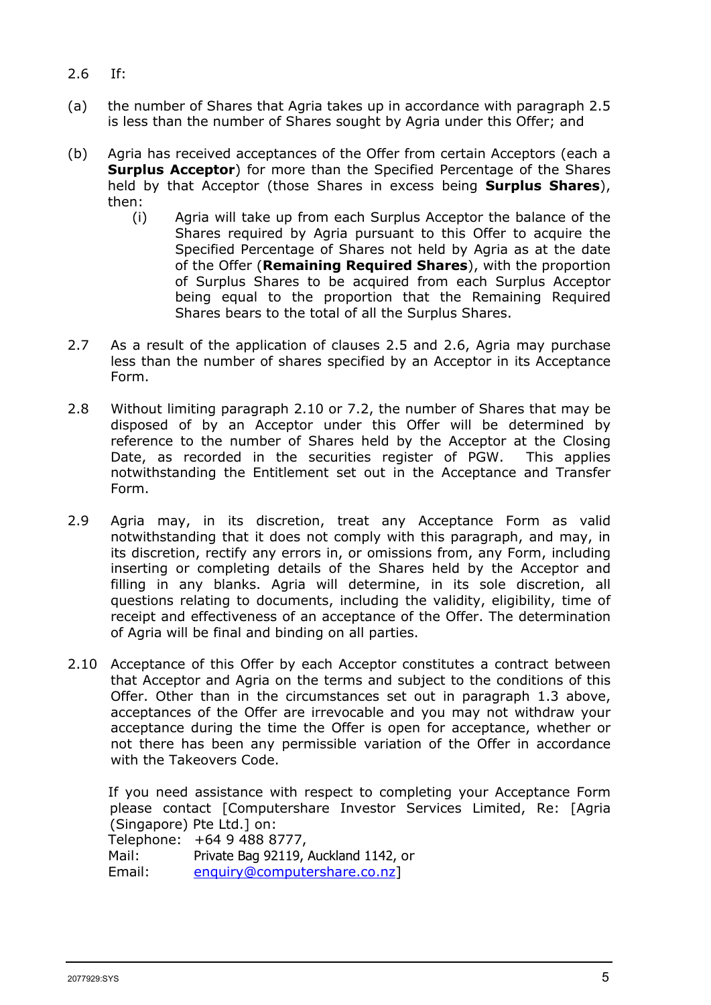- 2.6 If:
- (a) the number of Shares that Agria takes up in accordance with paragraph 2.5 is less than the number of Shares sought by Agria under this Offer; and
- (b) Agria has received acceptances of the Offer from certain Acceptors (each a **Surplus Acceptor**) for more than the Specified Percentage of the Shares held by that Acceptor (those Shares in excess being **Surplus Shares**), then:
	- (i) Agria will take up from each Surplus Acceptor the balance of the Shares required by Agria pursuant to this Offer to acquire the Specified Percentage of Shares not held by Agria as at the date of the Offer (**Remaining Required Shares**), with the proportion of Surplus Shares to be acquired from each Surplus Acceptor being equal to the proportion that the Remaining Required Shares bears to the total of all the Surplus Shares.
- 2.7 As a result of the application of clauses 2.5 and 2.6, Agria may purchase less than the number of shares specified by an Acceptor in its Acceptance Form.
- 2.8 Without limiting paragraph 2.10 or 7.2, the number of Shares that may be disposed of by an Acceptor under this Offer will be determined by reference to the number of Shares held by the Acceptor at the Closing Date, as recorded in the securities register of PGW. This applies notwithstanding the Entitlement set out in the Acceptance and Transfer Form.
- 2.9 Agria may, in its discretion, treat any Acceptance Form as valid notwithstanding that it does not comply with this paragraph, and may, in its discretion, rectify any errors in, or omissions from, any Form, including inserting or completing details of the Shares held by the Acceptor and filling in any blanks. Agria will determine, in its sole discretion, all questions relating to documents, including the validity, eligibility, time of receipt and effectiveness of an acceptance of the Offer. The determination of Agria will be final and binding on all parties.
- 2.10 Acceptance of this Offer by each Acceptor constitutes a contract between that Acceptor and Agria on the terms and subject to the conditions of this Offer. Other than in the circumstances set out in paragraph 1.3 above, acceptances of the Offer are irrevocable and you may not withdraw your acceptance during the time the Offer is open for acceptance, whether or not there has been any permissible variation of the Offer in accordance with the Takeovers Code.

If you need assistance with respect to completing your Acceptance Form please contact [Computershare Investor Services Limited, Re: [Agria (Singapore) Pte Ltd.] on:

|        | Telephone: +64 9 488 8777,           |
|--------|--------------------------------------|
| Mail:  | Private Bag 92119, Auckland 1142, or |
| Email: | enquiry@computershare.co.nz]         |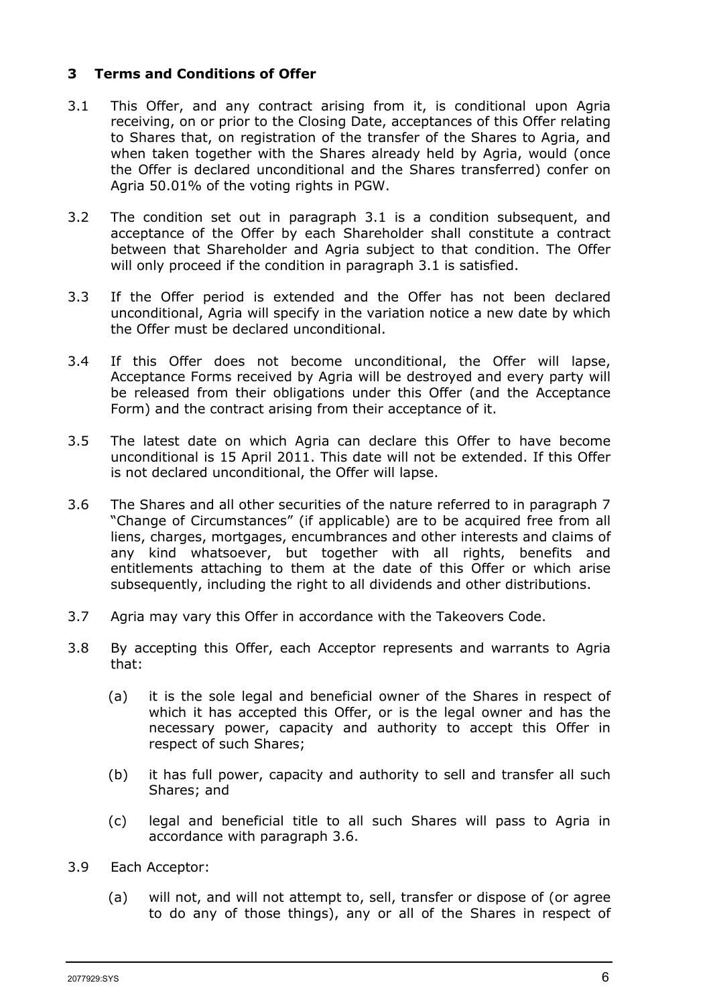#### **3 Terms and Conditions of Offer**

- 3.1 This Offer, and any contract arising from it, is conditional upon Agria receiving, on or prior to the Closing Date, acceptances of this Offer relating to Shares that, on registration of the transfer of the Shares to Agria, and when taken together with the Shares already held by Agria, would (once the Offer is declared unconditional and the Shares transferred) confer on Agria 50.01% of the voting rights in PGW.
- 3.2 The condition set out in paragraph 3.1 is a condition subsequent, and acceptance of the Offer by each Shareholder shall constitute a contract between that Shareholder and Agria subject to that condition. The Offer will only proceed if the condition in paragraph 3.1 is satisfied.
- 3.3 If the Offer period is extended and the Offer has not been declared unconditional, Agria will specify in the variation notice a new date by which the Offer must be declared unconditional.
- 3.4 If this Offer does not become unconditional, the Offer will lapse, Acceptance Forms received by Agria will be destroyed and every party will be released from their obligations under this Offer (and the Acceptance Form) and the contract arising from their acceptance of it.
- 3.5 The latest date on which Agria can declare this Offer to have become unconditional is 15 April 2011. This date will not be extended. If this Offer is not declared unconditional, the Offer will lapse.
- 3.6 The Shares and all other securities of the nature referred to in paragraph 7 "Change of Circumstances" (if applicable) are to be acquired free from all liens, charges, mortgages, encumbrances and other interests and claims of any kind whatsoever, but together with all rights, benefits and entitlements attaching to them at the date of this Offer or which arise subsequently, including the right to all dividends and other distributions.
- 3.7 Agria may vary this Offer in accordance with the Takeovers Code.
- 3.8 By accepting this Offer, each Acceptor represents and warrants to Agria that:
	- (a) it is the sole legal and beneficial owner of the Shares in respect of which it has accepted this Offer, or is the legal owner and has the necessary power, capacity and authority to accept this Offer in respect of such Shares;
	- (b) it has full power, capacity and authority to sell and transfer all such Shares; and
	- (c) legal and beneficial title to all such Shares will pass to Agria in accordance with paragraph 3.6.
- 3.9 Each Acceptor:
	- (a) will not, and will not attempt to, sell, transfer or dispose of (or agree to do any of those things), any or all of the Shares in respect of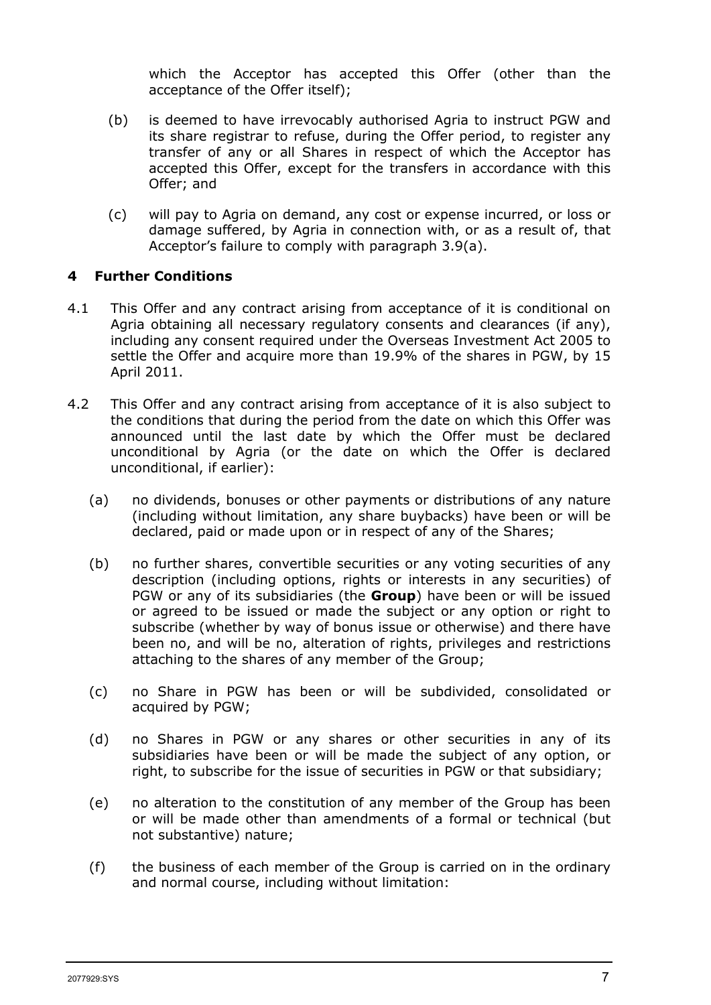which the Acceptor has accepted this Offer (other than the acceptance of the Offer itself);

- (b) is deemed to have irrevocably authorised Agria to instruct PGW and its share registrar to refuse, during the Offer period, to register any transfer of any or all Shares in respect of which the Acceptor has accepted this Offer, except for the transfers in accordance with this Offer; and
- (c) will pay to Agria on demand, any cost or expense incurred, or loss or damage suffered, by Agria in connection with, or as a result of, that Acceptor's failure to comply with paragraph 3.9(a).

## **4 Further Conditions**

- 4.1 This Offer and any contract arising from acceptance of it is conditional on Agria obtaining all necessary regulatory consents and clearances (if any), including any consent required under the Overseas Investment Act 2005 to settle the Offer and acquire more than 19.9% of the shares in PGW, by 15 April 2011.
- 4.2 This Offer and any contract arising from acceptance of it is also subject to the conditions that during the period from the date on which this Offer was announced until the last date by which the Offer must be declared unconditional by Agria (or the date on which the Offer is declared unconditional, if earlier):
	- (a) no dividends, bonuses or other payments or distributions of any nature (including without limitation, any share buybacks) have been or will be declared, paid or made upon or in respect of any of the Shares;
	- (b) no further shares, convertible securities or any voting securities of any description (including options, rights or interests in any securities) of PGW or any of its subsidiaries (the **Group**) have been or will be issued or agreed to be issued or made the subject or any option or right to subscribe (whether by way of bonus issue or otherwise) and there have been no, and will be no, alteration of rights, privileges and restrictions attaching to the shares of any member of the Group;
	- (c) no Share in PGW has been or will be subdivided, consolidated or acquired by PGW;
	- (d) no Shares in PGW or any shares or other securities in any of its subsidiaries have been or will be made the subject of any option, or right, to subscribe for the issue of securities in PGW or that subsidiary;
	- (e) no alteration to the constitution of any member of the Group has been or will be made other than amendments of a formal or technical (but not substantive) nature;
	- (f) the business of each member of the Group is carried on in the ordinary and normal course, including without limitation: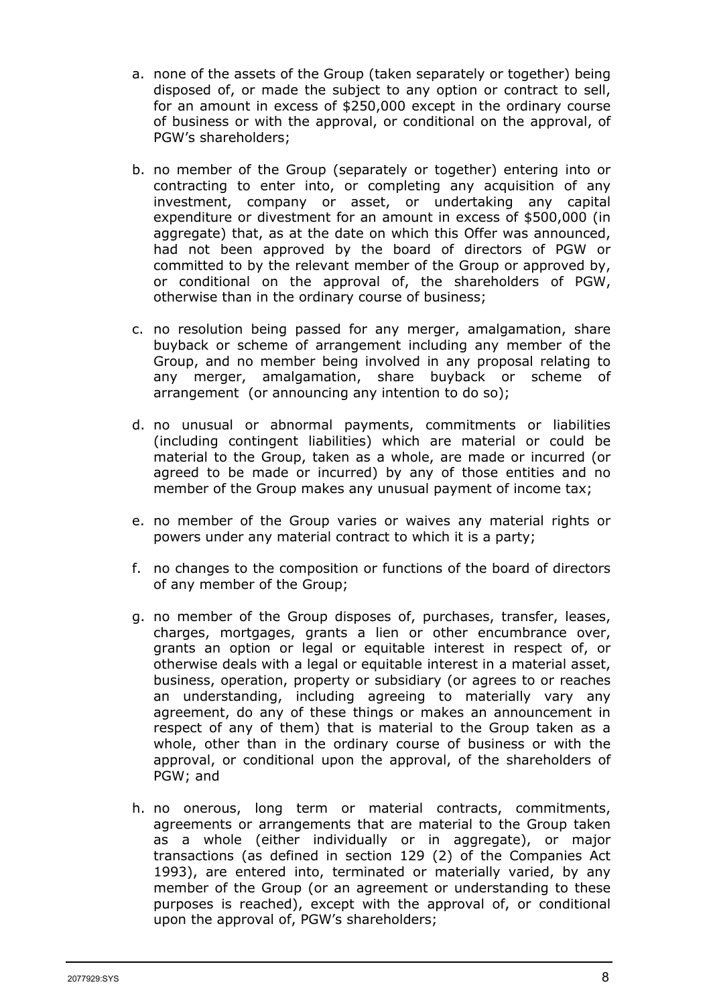- a. none of the assets of the Group (taken separately or together) being disposed of, or made the subject to any option or contract to sell, for an amount in excess of \$250,000 except in the ordinary course of business or with the approval, or conditional on the approval, of PGW's shareholders;
- b. no member of the Group (separately or together) entering into or contracting to enter into, or completing any acquisition of any investment, company or asset, or undertaking any capital expenditure or divestment for an amount in excess of \$500,000 (in aggregate) that, as at the date on which this Offer was announced, had not been approved by the board of directors of PGW or committed to by the relevant member of the Group or approved by, or conditional on the approval of, the shareholders of PGW, otherwise than in the ordinary course of business;
- c. no resolution being passed for any merger, amalgamation, share buyback or scheme of arrangement including any member of the Group, and no member being involved in any proposal relating to any merger, amalgamation, share buyback or scheme of arrangement (or announcing any intention to do so);
- d. no unusual or abnormal payments, commitments or liabilities (including contingent liabilities) which are material or could be material to the Group, taken as a whole, are made or incurred (or agreed to be made or incurred) by any of those entities and no member of the Group makes any unusual payment of income tax;
- e. no member of the Group varies or waives any material rights or powers under any material contract to which it is a party;
- f. no changes to the composition or functions of the board of directors of any member of the Group;
- g. no member of the Group disposes of, purchases, transfer, leases, charges, mortgages, grants a lien or other encumbrance over, grants an option or legal or equitable interest in respect of, or otherwise deals with a legal or equitable interest in a material asset, business, operation, property or subsidiary (or agrees to or reaches an understanding, including agreeing to materially vary any agreement, do any of these things or makes an announcement in respect of any of them) that is material to the Group taken as a whole, other than in the ordinary course of business or with the approval, or conditional upon the approval, of the shareholders of PGW; and
- h. no onerous, long term or material contracts, commitments, agreements or arrangements that are material to the Group taken as a whole (either individually or in aggregate), or major transactions (as defined in section 129 (2) of the Companies Act 1993), are entered into, terminated or materially varied, by any member of the Group (or an agreement or understanding to these purposes is reached), except with the approval of, or conditional upon the approval of, PGW's shareholders;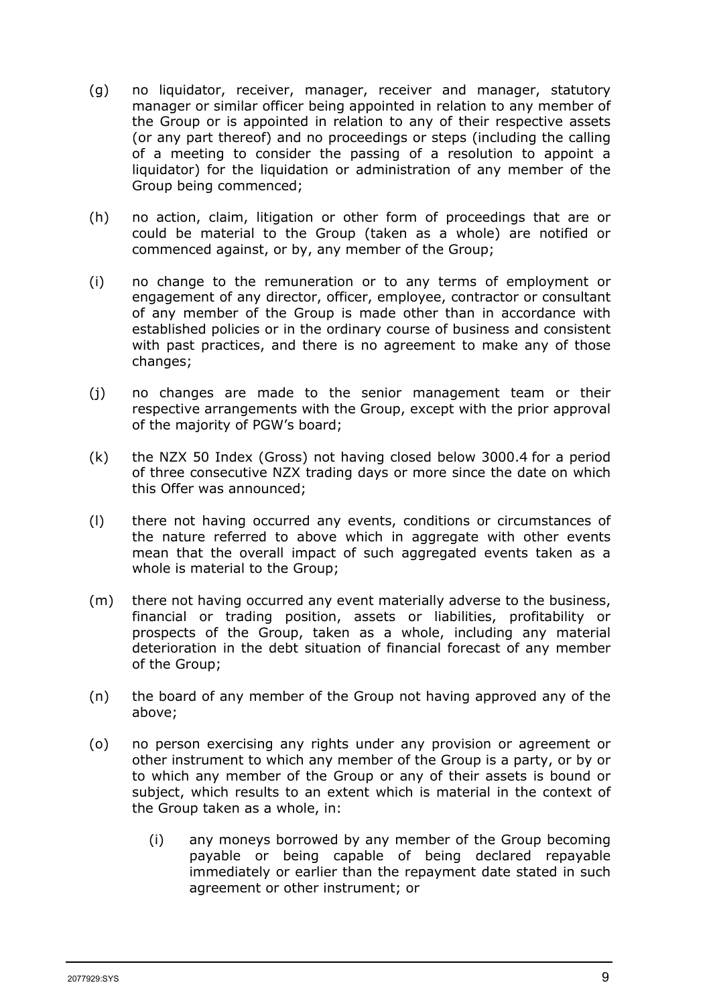- (g) no liquidator, receiver, manager, receiver and manager, statutory manager or similar officer being appointed in relation to any member of the Group or is appointed in relation to any of their respective assets (or any part thereof) and no proceedings or steps (including the calling of a meeting to consider the passing of a resolution to appoint a liquidator) for the liquidation or administration of any member of the Group being commenced;
- (h) no action, claim, litigation or other form of proceedings that are or could be material to the Group (taken as a whole) are notified or commenced against, or by, any member of the Group;
- (i) no change to the remuneration or to any terms of employment or engagement of any director, officer, employee, contractor or consultant of any member of the Group is made other than in accordance with established policies or in the ordinary course of business and consistent with past practices, and there is no agreement to make any of those changes;
- (j) no changes are made to the senior management team or their respective arrangements with the Group, except with the prior approval of the majority of PGW's board;
- (k) the NZX 50 Index (Gross) not having closed below 3000.4 for a period of three consecutive NZX trading days or more since the date on which this Offer was announced;
- (l) there not having occurred any events, conditions or circumstances of the nature referred to above which in aggregate with other events mean that the overall impact of such aggregated events taken as a whole is material to the Group;
- (m) there not having occurred any event materially adverse to the business, financial or trading position, assets or liabilities, profitability or prospects of the Group, taken as a whole, including any material deterioration in the debt situation of financial forecast of any member of the Group;
- (n) the board of any member of the Group not having approved any of the above;
- (o) no person exercising any rights under any provision or agreement or other instrument to which any member of the Group is a party, or by or to which any member of the Group or any of their assets is bound or subject, which results to an extent which is material in the context of the Group taken as a whole, in:
	- (i) any moneys borrowed by any member of the Group becoming payable or being capable of being declared repayable immediately or earlier than the repayment date stated in such agreement or other instrument; or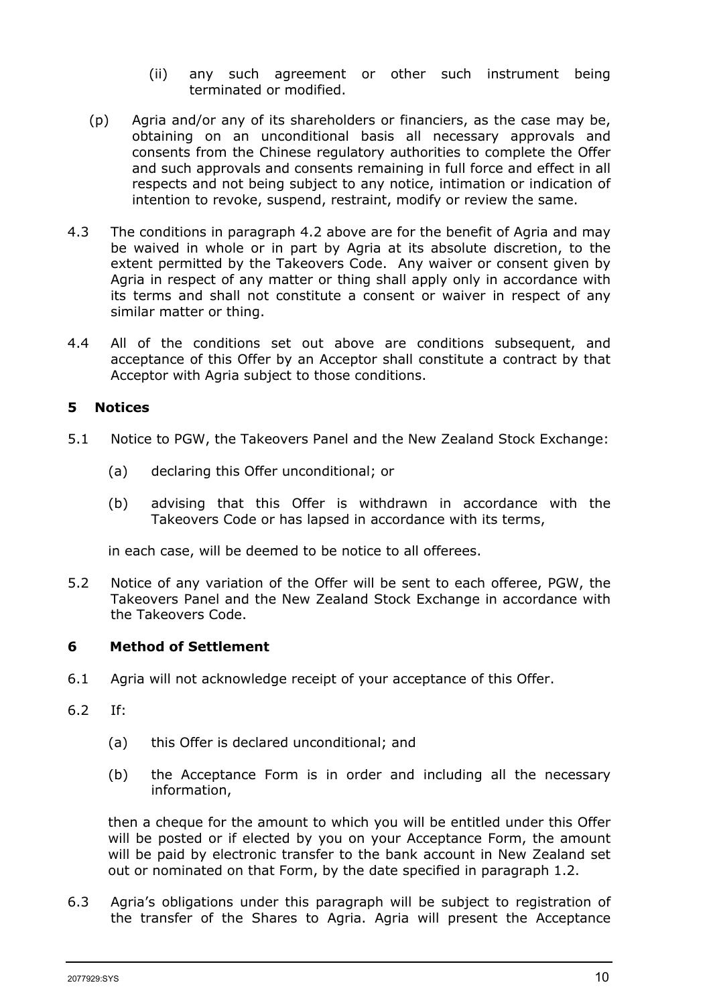- (ii) any such agreement or other such instrument being terminated or modified.
- (p) Agria and/or any of its shareholders or financiers, as the case may be, obtaining on an unconditional basis all necessary approvals and consents from the Chinese regulatory authorities to complete the Offer and such approvals and consents remaining in full force and effect in all respects and not being subject to any notice, intimation or indication of intention to revoke, suspend, restraint, modify or review the same.
- 4.3 The conditions in paragraph 4.2 above are for the benefit of Agria and may be waived in whole or in part by Agria at its absolute discretion, to the extent permitted by the Takeovers Code. Any waiver or consent given by Agria in respect of any matter or thing shall apply only in accordance with its terms and shall not constitute a consent or waiver in respect of any similar matter or thing.
- 4.4 All of the conditions set out above are conditions subsequent, and acceptance of this Offer by an Acceptor shall constitute a contract by that Acceptor with Agria subject to those conditions.

## **5 Notices**

- 5.1 Notice to PGW, the Takeovers Panel and the New Zealand Stock Exchange:
	- (a) declaring this Offer unconditional; or
	- (b) advising that this Offer is withdrawn in accordance with the Takeovers Code or has lapsed in accordance with its terms,

in each case, will be deemed to be notice to all offerees.

5.2 Notice of any variation of the Offer will be sent to each offeree, PGW, the Takeovers Panel and the New Zealand Stock Exchange in accordance with the Takeovers Code.

#### **6 Method of Settlement**

- 6.1 Agria will not acknowledge receipt of your acceptance of this Offer.
- 6.2 If:
	- (a) this Offer is declared unconditional; and
	- (b) the Acceptance Form is in order and including all the necessary information,

then a cheque for the amount to which you will be entitled under this Offer will be posted or if elected by you on your Acceptance Form, the amount will be paid by electronic transfer to the bank account in New Zealand set out or nominated on that Form, by the date specified in paragraph 1.2.

6.3 Agria's obligations under this paragraph will be subject to registration of the transfer of the Shares to Agria. Agria will present the Acceptance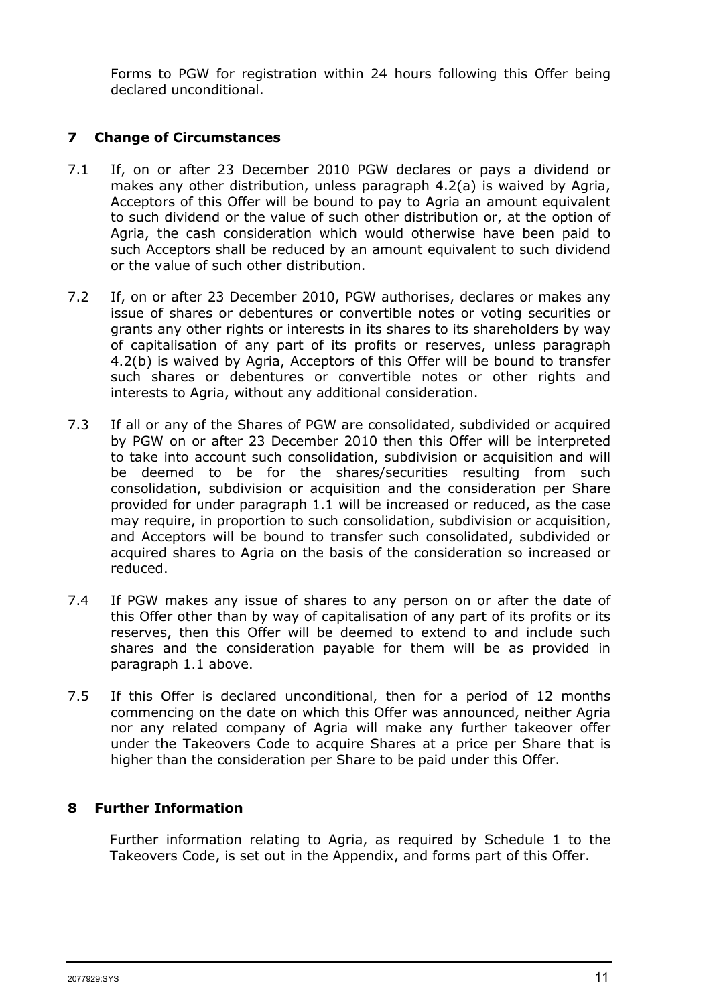Forms to PGW for registration within 24 hours following this Offer being declared unconditional.

# **7 Change of Circumstances**

- 7.1 If, on or after 23 December 2010 PGW declares or pays a dividend or makes any other distribution, unless paragraph 4.2(a) is waived by Agria, Acceptors of this Offer will be bound to pay to Agria an amount equivalent to such dividend or the value of such other distribution or, at the option of Agria, the cash consideration which would otherwise have been paid to such Acceptors shall be reduced by an amount equivalent to such dividend or the value of such other distribution.
- 7.2 If, on or after 23 December 2010, PGW authorises, declares or makes any issue of shares or debentures or convertible notes or voting securities or grants any other rights or interests in its shares to its shareholders by way of capitalisation of any part of its profits or reserves, unless paragraph 4.2(b) is waived by Agria, Acceptors of this Offer will be bound to transfer such shares or debentures or convertible notes or other rights and interests to Agria, without any additional consideration.
- 7.3 If all or any of the Shares of PGW are consolidated, subdivided or acquired by PGW on or after 23 December 2010 then this Offer will be interpreted to take into account such consolidation, subdivision or acquisition and will be deemed to be for the shares/securities resulting from such consolidation, subdivision or acquisition and the consideration per Share provided for under paragraph 1.1 will be increased or reduced, as the case may require, in proportion to such consolidation, subdivision or acquisition, and Acceptors will be bound to transfer such consolidated, subdivided or acquired shares to Agria on the basis of the consideration so increased or reduced.
- 7.4 If PGW makes any issue of shares to any person on or after the date of this Offer other than by way of capitalisation of any part of its profits or its reserves, then this Offer will be deemed to extend to and include such shares and the consideration payable for them will be as provided in paragraph 1.1 above.
- 7.5 If this Offer is declared unconditional, then for a period of 12 months commencing on the date on which this Offer was announced, neither Agria nor any related company of Agria will make any further takeover offer under the Takeovers Code to acquire Shares at a price per Share that is higher than the consideration per Share to be paid under this Offer.

# **8 Further Information**

Further information relating to Agria, as required by Schedule 1 to the Takeovers Code, is set out in the Appendix, and forms part of this Offer.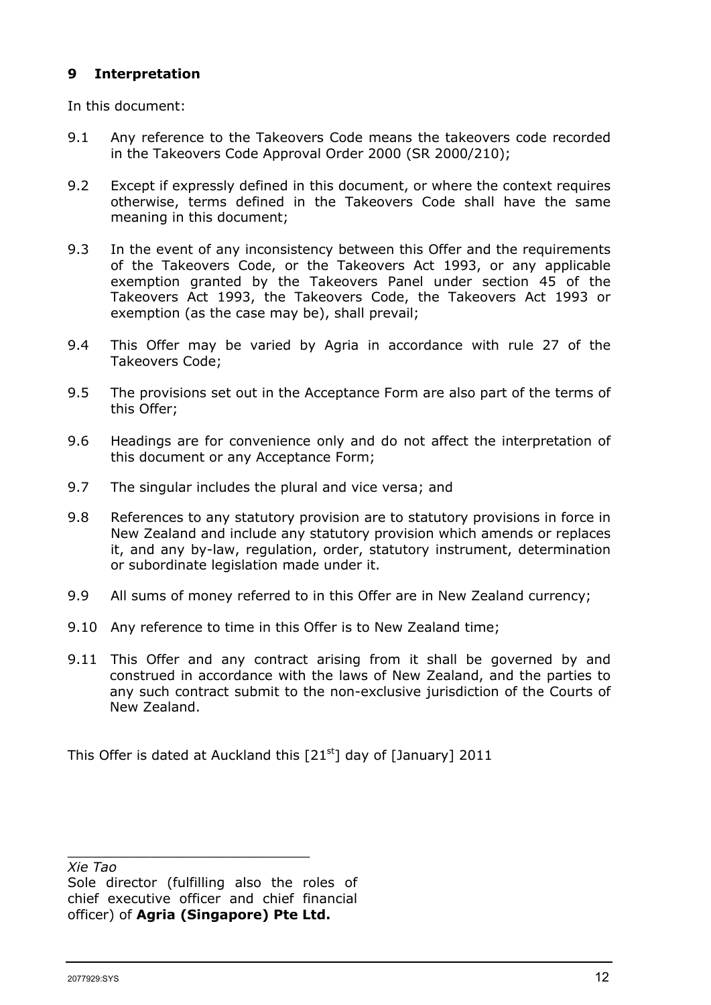## **9 Interpretation**

In this document:

- 9.1 Any reference to the Takeovers Code means the takeovers code recorded in the Takeovers Code Approval Order 2000 (SR 2000/210);
- 9.2 Except if expressly defined in this document, or where the context requires otherwise, terms defined in the Takeovers Code shall have the same meaning in this document;
- 9.3 In the event of any inconsistency between this Offer and the requirements of the Takeovers Code, or the Takeovers Act 1993, or any applicable exemption granted by the Takeovers Panel under section 45 of the Takeovers Act 1993, the Takeovers Code, the Takeovers Act 1993 or exemption (as the case may be), shall prevail;
- 9.4 This Offer may be varied by Agria in accordance with rule 27 of the Takeovers Code;
- 9.5 The provisions set out in the Acceptance Form are also part of the terms of this Offer;
- 9.6 Headings are for convenience only and do not affect the interpretation of this document or any Acceptance Form;
- 9.7 The singular includes the plural and vice versa; and
- 9.8 References to any statutory provision are to statutory provisions in force in New Zealand and include any statutory provision which amends or replaces it, and any by-law, regulation, order, statutory instrument, determination or subordinate legislation made under it.
- 9.9 All sums of money referred to in this Offer are in New Zealand currency;
- 9.10 Any reference to time in this Offer is to New Zealand time;
- 9.11 This Offer and any contract arising from it shall be governed by and construed in accordance with the laws of New Zealand, and the parties to any such contract submit to the non-exclusive jurisdiction of the Courts of New Zealand.

This Offer is dated at Auckland this  $[21<sup>st</sup>]$  day of [January] 2011

*Xie Tao*

\_\_\_\_\_\_\_\_\_\_\_\_\_\_\_\_\_\_\_\_\_\_\_\_\_\_\_\_\_

Sole director (fulfilling also the roles of chief executive officer and chief financial officer) of **Agria (Singapore) Pte Ltd.**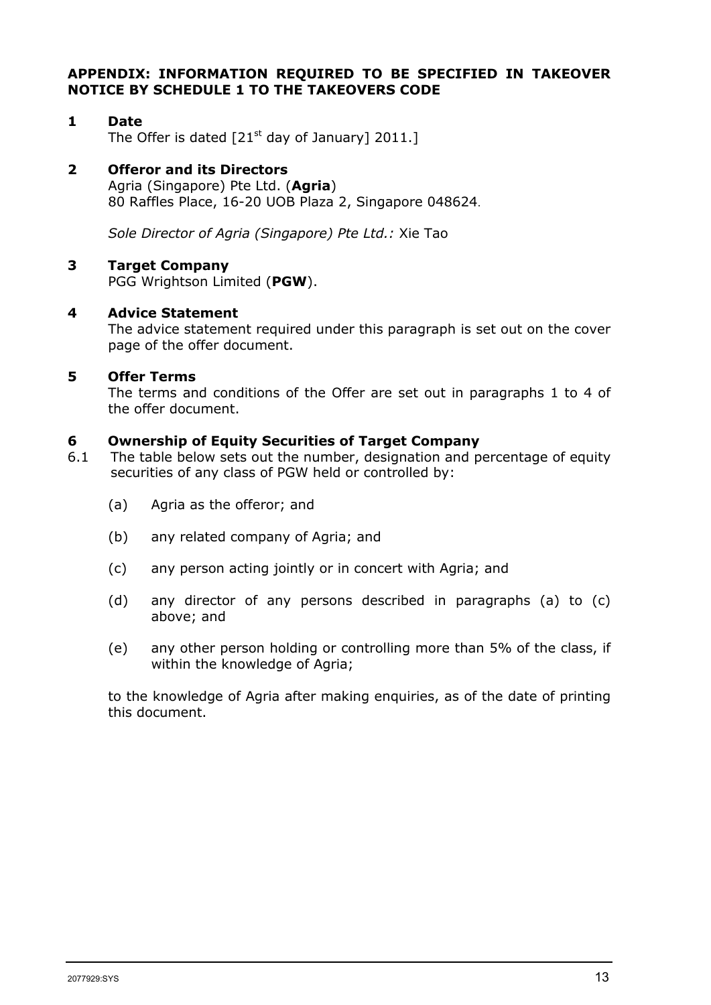#### **APPENDIX: INFORMATION REQUIRED TO BE SPECIFIED IN TAKEOVER NOTICE BY SCHEDULE 1 TO THE TAKEOVERS CODE**

#### **1 Date** The Offer is dated  $[21<sup>st</sup>$  day of January] 2011.]

# **2 Offeror and its Directors**

Agria (Singapore) Pte Ltd. (**Agria**) 80 Raffles Place, 16-20 UOB Plaza 2, Singapore 048624.

*Sole Director of Agria (Singapore) Pte Ltd.:* Xie Tao

#### **3 Target Company**

PGG Wrightson Limited (**PGW**).

#### **4 Advice Statement**

The advice statement required under this paragraph is set out on the cover page of the offer document.

#### **5 Offer Terms**

The terms and conditions of the Offer are set out in paragraphs 1 to 4 of the offer document.

#### **6 Ownership of Equity Securities of Target Company**

- 6.1 The table below sets out the number, designation and percentage of equity securities of any class of PGW held or controlled by:
	- (a) Agria as the offeror; and
	- (b) any related company of Agria; and
	- (c) any person acting jointly or in concert with Agria; and
	- (d) any director of any persons described in paragraphs (a) to (c) above; and
	- (e) any other person holding or controlling more than 5% of the class, if within the knowledge of Agria;

to the knowledge of Agria after making enquiries, as of the date of printing this document.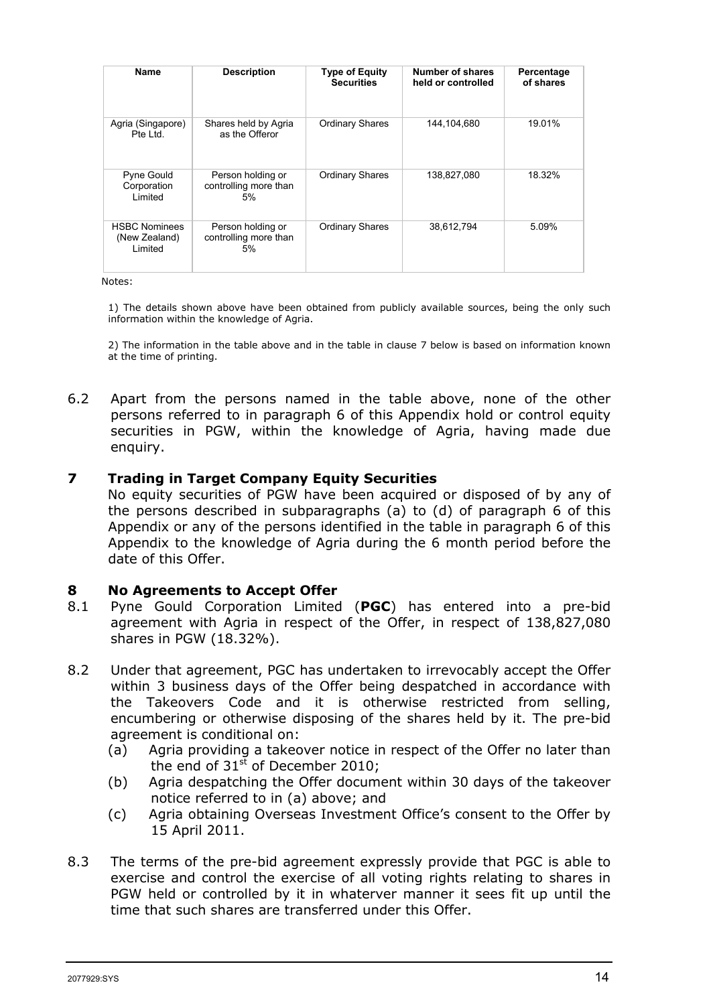| Name                                             | <b>Description</b>                               | <b>Type of Equity</b><br><b>Securities</b> | <b>Number of shares</b><br>held or controlled | Percentage<br>of shares |
|--------------------------------------------------|--------------------------------------------------|--------------------------------------------|-----------------------------------------------|-------------------------|
| Agria (Singapore)<br>Pte Ltd.                    | Shares held by Agria<br>as the Offeror           | <b>Ordinary Shares</b>                     | 144,104,680                                   | 19.01%                  |
| <b>Pyne Gould</b><br>Corporation<br>Limited      | Person holding or<br>controlling more than<br>5% | <b>Ordinary Shares</b>                     | 138,827,080                                   | 18.32%                  |
| <b>HSBC Nominees</b><br>(New Zealand)<br>Limited | Person holding or<br>controlling more than<br>5% | <b>Ordinary Shares</b>                     | 38,612,794                                    | 5.09%                   |

Notes:

1) The details shown above have been obtained from publicly available sources, being the only such information within the knowledge of Agria.

2) The information in the table above and in the table in clause 7 below is based on information known at the time of printing.

6.2 Apart from the persons named in the table above, none of the other persons referred to in paragraph 6 of this Appendix hold or control equity securities in PGW, within the knowledge of Agria, having made due enquiry.

#### **7 Trading in Target Company Equity Securities**

No equity securities of PGW have been acquired or disposed of by any of the persons described in subparagraphs (a) to (d) of paragraph 6 of this Appendix or any of the persons identified in the table in paragraph 6 of this Appendix to the knowledge of Agria during the 6 month period before the date of this Offer.

#### **8 No Agreements to Accept Offer**

- 8.1 Pyne Gould Corporation Limited (**PGC**) has entered into a pre-bid agreement with Agria in respect of the Offer, in respect of 138,827,080 shares in PGW (18.32%).
- 8.2 Under that agreement, PGC has undertaken to irrevocably accept the Offer within 3 business days of the Offer being despatched in accordance with the Takeovers Code and it is otherwise restricted from selling, encumbering or otherwise disposing of the shares held by it. The pre-bid agreement is conditional on:
	- (a) Agria providing a takeover notice in respect of the Offer no later than the end of  $31<sup>st</sup>$  of December 2010;
	- (b) Agria despatching the Offer document within 30 days of the takeover notice referred to in (a) above; and
	- (c) Agria obtaining Overseas Investment Office's consent to the Offer by 15 April 2011.
- 8.3 The terms of the pre-bid agreement expressly provide that PGC is able to exercise and control the exercise of all voting rights relating to shares in PGW held or controlled by it in whaterver manner it sees fit up until the time that such shares are transferred under this Offer.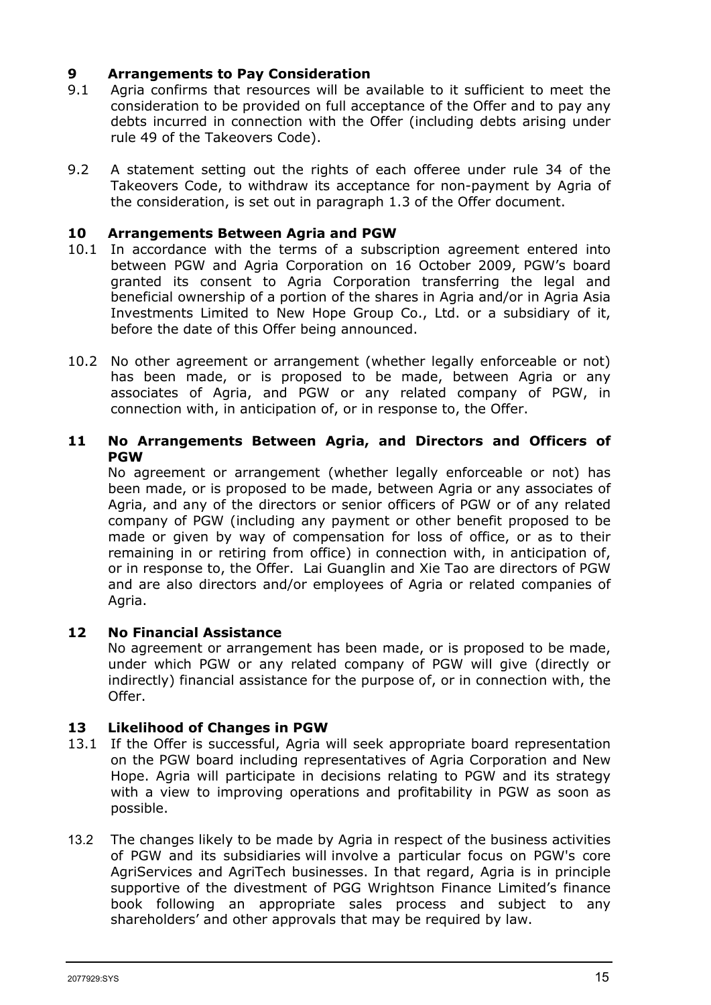# **9 • Arrangements to Pay Consideration**<br>**9.1** • Agria confirms that resources will be a

- 9.1 Agria confirms that resources will be available to it sufficient to meet the consideration to be provided on full acceptance of the Offer and to pay any debts incurred in connection with the Offer (including debts arising under rule 49 of the Takeovers Code).
- 9.2 A statement setting out the rights of each offeree under rule 34 of the Takeovers Code, to withdraw its acceptance for non-payment by Agria of the consideration, is set out in paragraph 1.3 of the Offer document.

#### **10 Arrangements Between Agria and PGW**

- 10.1 In accordance with the terms of a subscription agreement entered into between PGW and Agria Corporation on 16 October 2009, PGW's board granted its consent to Agria Corporation transferring the legal and beneficial ownership of a portion of the shares in Agria and/or in Agria Asia Investments Limited to New Hope Group Co., Ltd. or a subsidiary of it, before the date of this Offer being announced.
- 10.2 No other agreement or arrangement (whether legally enforceable or not) has been made, or is proposed to be made, between Agria or any associates of Agria, and PGW or any related company of PGW, in connection with, in anticipation of, or in response to, the Offer.

#### **11 No Arrangements Between Agria, and Directors and Officers of PGW**

No agreement or arrangement (whether legally enforceable or not) has been made, or is proposed to be made, between Agria or any associates of Agria, and any of the directors or senior officers of PGW or of any related company of PGW (including any payment or other benefit proposed to be made or given by way of compensation for loss of office, or as to their remaining in or retiring from office) in connection with, in anticipation of, or in response to, the Offer. Lai Guanglin and Xie Tao are directors of PGW and are also directors and/or employees of Agria or related companies of Agria.

#### **12 No Financial Assistance**

No agreement or arrangement has been made, or is proposed to be made, under which PGW or any related company of PGW will give (directly or indirectly) financial assistance for the purpose of, or in connection with, the Offer.

#### **13 Likelihood of Changes in PGW**

- 13.1 If the Offer is successful, Agria will seek appropriate board representation on the PGW board including representatives of Agria Corporation and New Hope. Agria will participate in decisions relating to PGW and its strategy with a view to improving operations and profitability in PGW as soon as possible.
- 13.2 The changes likely to be made by Agria in respect of the business activities of PGW and its subsidiaries will involve a particular focus on PGW's core AgriServices and AgriTech businesses. In that regard, Agria is in principle supportive of the divestment of PGG Wrightson Finance Limited's finance book following an appropriate sales process and subject to any shareholders' and other approvals that may be required by law.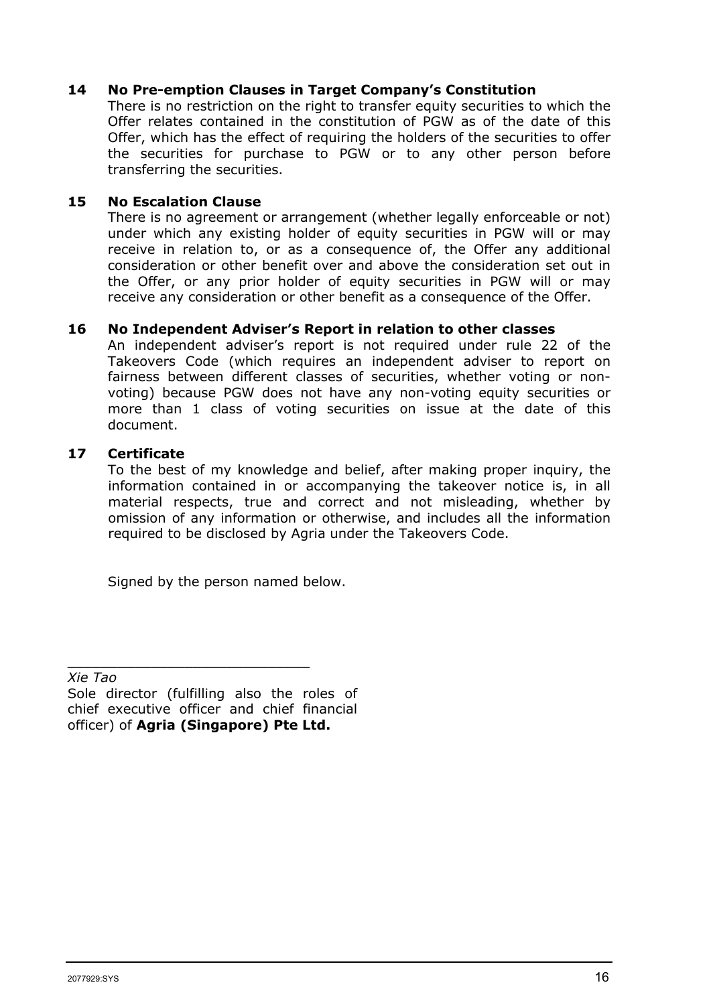#### **14 No Pre-emption Clauses in Target Company's Constitution**

There is no restriction on the right to transfer equity securities to which the Offer relates contained in the constitution of PGW as of the date of this Offer, which has the effect of requiring the holders of the securities to offer the securities for purchase to PGW or to any other person before transferring the securities.

#### **15 No Escalation Clause**

There is no agreement or arrangement (whether legally enforceable or not) under which any existing holder of equity securities in PGW will or may receive in relation to, or as a consequence of, the Offer any additional consideration or other benefit over and above the consideration set out in the Offer, or any prior holder of equity securities in PGW will or may receive any consideration or other benefit as a consequence of the Offer.

#### **16 No Independent Adviser's Report in relation to other classes**

An independent adviser's report is not required under rule 22 of the Takeovers Code (which requires an independent adviser to report on fairness between different classes of securities, whether voting or nonvoting) because PGW does not have any non-voting equity securities or more than 1 class of voting securities on issue at the date of this document.

#### **17 Certificate**

To the best of my knowledge and belief, after making proper inquiry, the information contained in or accompanying the takeover notice is, in all material respects, true and correct and not misleading, whether by omission of any information or otherwise, and includes all the information required to be disclosed by Agria under the Takeovers Code.

Signed by the person named below.

*Xie Tao*

Sole director (fulfilling also the roles of chief executive officer and chief financial officer) of **Agria (Singapore) Pte Ltd.**

\_\_\_\_\_\_\_\_\_\_\_\_\_\_\_\_\_\_\_\_\_\_\_\_\_\_\_\_\_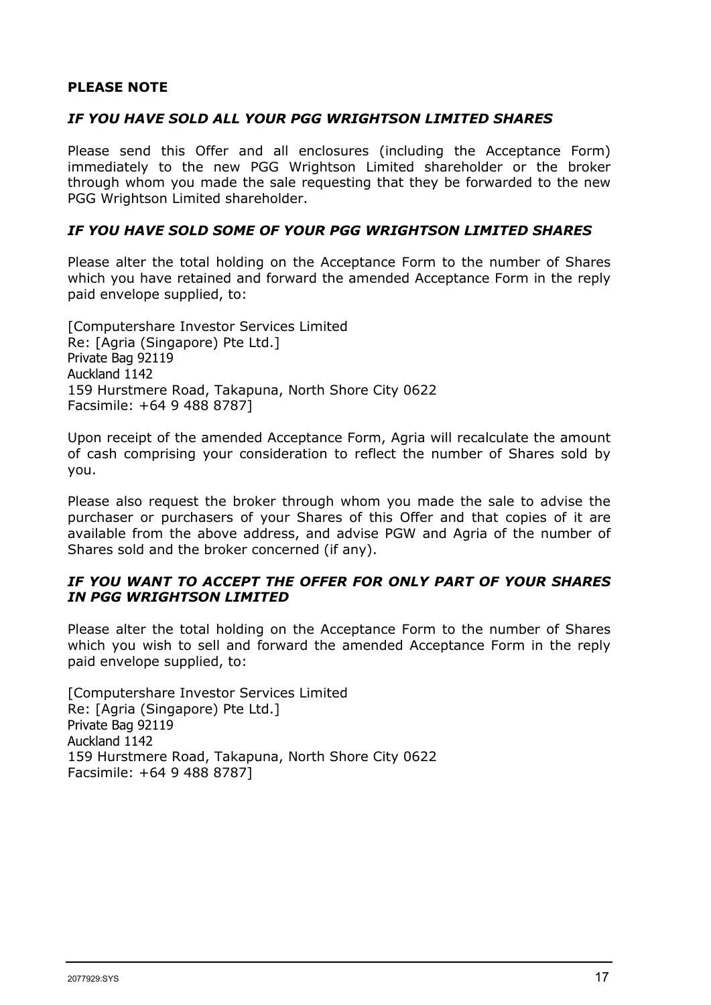#### **PLEASE NOTE**

#### *IF YOU HAVE SOLD ALL YOUR PGG WRIGHTSON LIMITED SHARES*

Please send this Offer and all enclosures (including the Acceptance Form) immediately to the new PGG Wrightson Limited shareholder or the broker through whom you made the sale requesting that they be forwarded to the new PGG Wrightson Limited shareholder.

#### *IF YOU HAVE SOLD SOME OF YOUR PGG WRIGHTSON LIMITED SHARES*

Please alter the total holding on the Acceptance Form to the number of Shares which you have retained and forward the amended Acceptance Form in the reply paid envelope supplied, to:

[Computershare Investor Services Limited Re: [Agria (Singapore) Pte Ltd.] Private Bag 92119 Auckland 1142 159 Hurstmere Road, Takapuna, North Shore City 0622 Facsimile: +64 9 488 8787]

Upon receipt of the amended Acceptance Form, Agria will recalculate the amount of cash comprising your consideration to reflect the number of Shares sold by you.

Please also request the broker through whom you made the sale to advise the purchaser or purchasers of your Shares of this Offer and that copies of it are available from the above address, and advise PGW and Agria of the number of Shares sold and the broker concerned (if any).

#### *IF YOU WANT TO ACCEPT THE OFFER FOR ONLY PART OF YOUR SHARES IN PGG WRIGHTSON LIMITED*

Please alter the total holding on the Acceptance Form to the number of Shares which you wish to sell and forward the amended Acceptance Form in the reply paid envelope supplied, to:

[Computershare Investor Services Limited Re: [Agria (Singapore) Pte Ltd.] Private Bag 92119 Auckland 1142 159 Hurstmere Road, Takapuna, North Shore City 0622 Facsimile: +64 9 488 8787]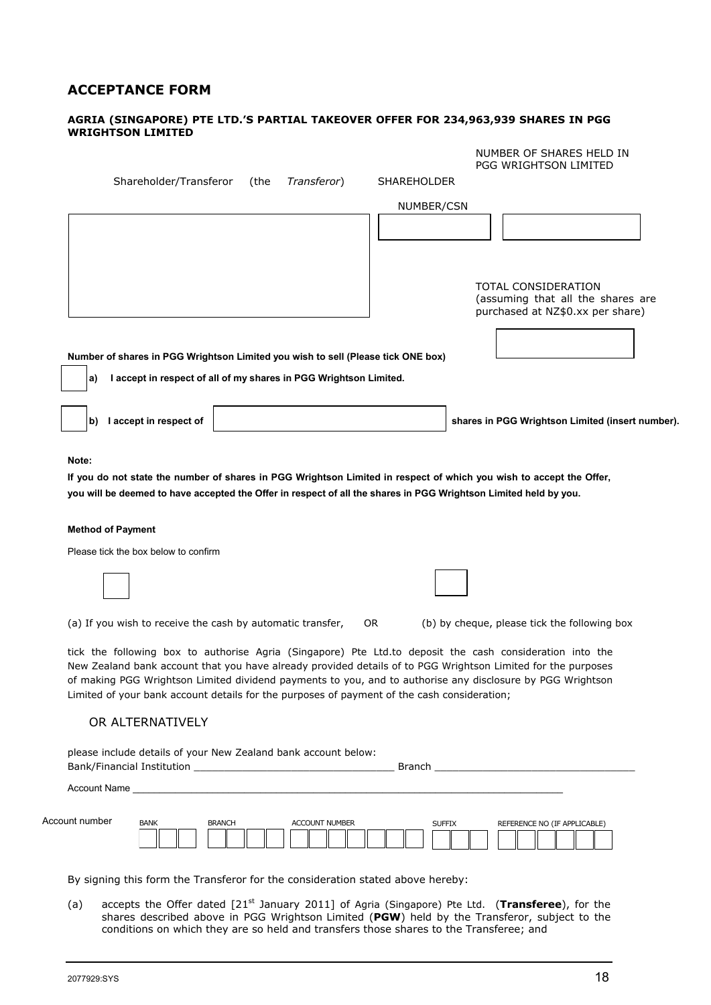# **ACCEPTANCE FORM**

#### **AGRIA (SINGAPORE) PTE LTD.'S PARTIAL TAKEOVER OFFER FOR 234,963,939 SHARES IN PGG WRIGHTSON LIMITED**

|                                                                                                                                                                                                           | NUMBER OF SHARES HELD IN<br>PGG WRIGHTSON LIMITED        |
|-----------------------------------------------------------------------------------------------------------------------------------------------------------------------------------------------------------|----------------------------------------------------------|
| Shareholder/Transferor<br>Transferor)<br>(the                                                                                                                                                             | <b>SHAREHOLDER</b>                                       |
|                                                                                                                                                                                                           | NUMBER/CSN                                               |
|                                                                                                                                                                                                           |                                                          |
|                                                                                                                                                                                                           |                                                          |
|                                                                                                                                                                                                           |                                                          |
|                                                                                                                                                                                                           | TOTAL CONSIDERATION<br>(assuming that all the shares are |
|                                                                                                                                                                                                           | purchased at NZ\$0.xx per share)                         |
|                                                                                                                                                                                                           |                                                          |
| Number of shares in PGG Wrightson Limited you wish to sell (Please tick ONE box)<br>I accept in respect of all of my shares in PGG Wrightson Limited.<br>a)                                               |                                                          |
|                                                                                                                                                                                                           |                                                          |
| b) laccept in respect of                                                                                                                                                                                  | shares in PGG Wrightson Limited (insert number).         |
|                                                                                                                                                                                                           |                                                          |
|                                                                                                                                                                                                           |                                                          |
| Note:                                                                                                                                                                                                     |                                                          |
| If you do not state the number of shares in PGG Wrightson Limited in respect of which you wish to accept the Offer,                                                                                       |                                                          |
| you will be deemed to have accepted the Offer in respect of all the shares in PGG Wrightson Limited held by you.                                                                                          |                                                          |
|                                                                                                                                                                                                           |                                                          |
| <b>Method of Payment</b>                                                                                                                                                                                  |                                                          |
| Please tick the box below to confirm                                                                                                                                                                      |                                                          |
|                                                                                                                                                                                                           |                                                          |
|                                                                                                                                                                                                           |                                                          |
| (a) If you wish to receive the cash by automatic transfer,                                                                                                                                                | OR.<br>(b) by cheque, please tick the following box      |
| tick the following box to authorise Agria (Singapore) Pte Ltd.to deposit the cash consideration into the                                                                                                  |                                                          |
| New Zealand bank account that you have already provided details of to PGG Wrightson Limited for the purposes                                                                                              |                                                          |
| of making PGG Wrightson Limited dividend payments to you, and to authorise any disclosure by PGG Wrightson<br>Limited of your bank account details for the purposes of payment of the cash consideration; |                                                          |
| OR ALTERNATIVELY                                                                                                                                                                                          |                                                          |
|                                                                                                                                                                                                           |                                                          |
| please include details of your New Zealand bank account below:                                                                                                                                            |                                                          |
|                                                                                                                                                                                                           |                                                          |
|                                                                                                                                                                                                           |                                                          |
| Account number<br><b>BANK</b><br><b>BRANCH</b><br><b>ACCOUNT NUMBER</b>                                                                                                                                   | <b>SUFFIX</b><br>REFERENCE NO (IF APPLICABLE)            |
|                                                                                                                                                                                                           |                                                          |
|                                                                                                                                                                                                           |                                                          |
|                                                                                                                                                                                                           |                                                          |
| By signing this form the Transferor for the consideration stated above hereby:                                                                                                                            |                                                          |

(a) accepts the Offer dated [21<sup>st</sup> January 2011] of Agria (Singapore) Pte Ltd. (Transferee), for the shares described above in PGG Wrightson Limited (**PGW**) held by the Transferor, subject to the conditions on which they are so held and transfers those shares to the Transferee; and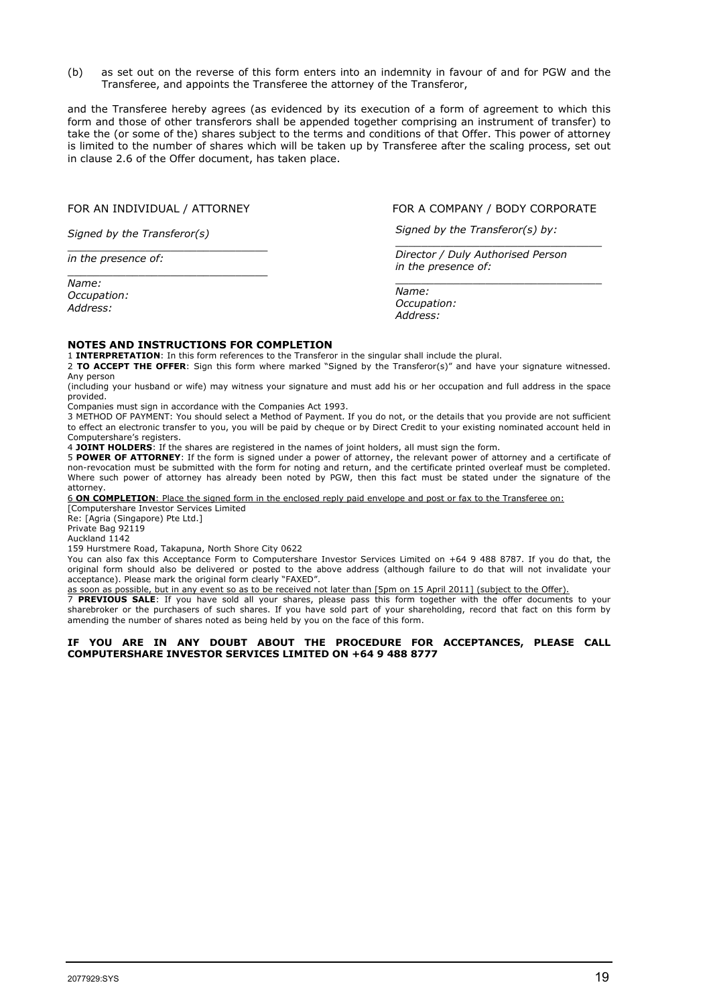(b) as set out on the reverse of this form enters into an indemnity in favour of and for PGW and the Transferee, and appoints the Transferee the attorney of the Transferor,

and the Transferee hereby agrees (as evidenced by its execution of a form of agreement to which this form and those of other transferors shall be appended together comprising an instrument of transfer) to take the (or some of the) shares subject to the terms and conditions of that Offer. This power of attorney is limited to the number of shares which will be taken up by Transferee after the scaling process, set out in clause 2.6 of the Offer document, has taken place.

\_\_\_\_\_\_\_\_\_\_\_\_\_\_\_\_\_\_\_\_\_\_\_\_\_\_\_\_\_\_\_

*Signed by the Transferor(s)*

\_\_\_\_\_\_\_\_\_\_\_\_\_\_\_\_\_\_\_\_\_\_\_\_\_\_\_\_\_\_\_ *in the presence of:*

*Name: Occupation: Address:*

FOR AN INDIVIDUAL / ATTORNEY FOR A COMPANY / BODY CORPORATE

\_\_\_\_\_\_\_\_\_\_\_\_\_\_\_\_\_\_\_\_\_\_\_\_\_\_\_\_\_\_\_\_

*Signed by the Transferor(s) by:*

\_\_\_\_\_\_\_\_\_\_\_\_\_\_\_\_\_\_\_\_\_\_\_\_\_\_\_\_\_\_\_\_ *Director / Duly Authorised Person in the presence of:*

*Name: Occupation: Address:*

#### **NOTES AND INSTRUCTIONS FOR COMPLETION**

1 **INTERPRETATION**: In this form references to the Transferor in the singular shall include the plural.

2 **TO ACCEPT THE OFFER**: Sign this form where marked "Signed by the Transferor(s)" and have your signature witnessed. Any person

(including your husband or wife) may witness your signature and must add his or her occupation and full address in the space provided.

Companies must sign in accordance with the Companies Act 1993.

3 METHOD OF PAYMENT: You should select a Method of Payment. If you do not, or the details that you provide are not sufficient to effect an electronic transfer to you, you will be paid by cheque or by Direct Credit to your existing nominated account held in Computershare's registers.

4 **JOINT HOLDERS**: If the shares are registered in the names of joint holders, all must sign the form.

5 **POWER OF ATTORNEY**: If the form is signed under a power of attorney, the relevant power of attorney and a certificate of non-revocation must be submitted with the form for noting and return, and the certificate printed overleaf must be completed. Where such power of attorney has already been noted by PGW, then this fact must be stated under the signature of the attorney.

6 **ON COMPLETION**: Place the signed form in the enclosed reply paid envelope and post or fax to the Transferee on: [Computershare Investor Services Limited

Re: [Agria (Singapore) Pte Ltd.]

Private Bag 92119

Auckland 1142

159 Hurstmere Road, Takapuna, North Shore City 0622

You can also fax this Acceptance Form to Computershare Investor Services Limited on +64 9 488 8787. If you do that, the original form should also be delivered or posted to the above address (although failure to do that will not invalidate your acceptance). Please mark the original form clearly "FAXED".

as soon as possible, but in any event so as to be received not later than [5pm on 15 April 2011] (subject to the Offer).

7 **PREVIOUS SALE**: If you have sold all your shares, please pass this form together with the offer documents to your sharebroker or the purchasers of such shares. If you have sold part of your shareholding, record that fact on this form by amending the number of shares noted as being held by you on the face of this form.

#### **IF YOU ARE IN ANY DOUBT ABOUT THE PROCEDURE FOR ACCEPTANCES, PLEASE CALL COMPUTERSHARE INVESTOR SERVICES LIMITED ON +64 9 488 8777**